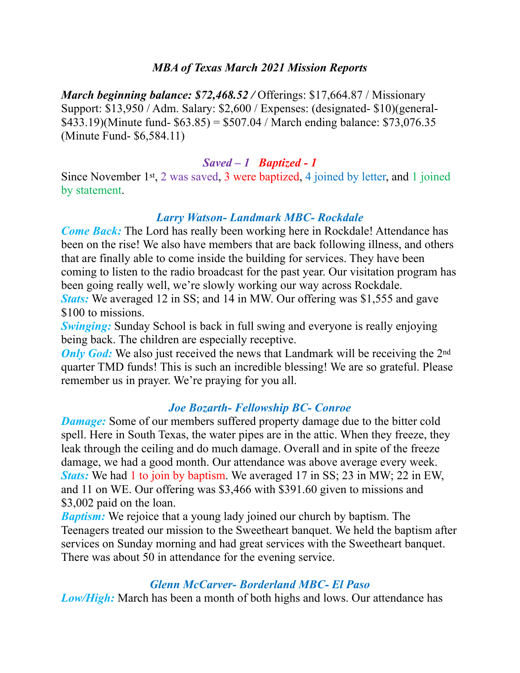### *MBA of Texas March 2021 Mission Reports*

*March beginning balance: \$72,468.52 / Offerings: \$17,664.87 / Missionary* Support: \$13,950 / Adm. Salary: \$2,600 / Expenses: (designated- \$10)(general-  $$433.19$ )(Minute fund- $$63.85$ ) =  $$507.04$  / March ending balance: \$73,076.35 (Minute Fund- \$6,584.11)

### *Saved – 1 Baptized - 1*

Since November 1st, 2 was saved, 3 were baptized, 4 joined by letter, and 1 joined by statement.

## *Larry Watson- Landmark MBC- Rockdale*

*Come Back:* The Lord has really been working here in Rockdale! Attendance has been on the rise! We also have members that are back following illness, and others that are finally able to come inside the building for services. They have been coming to listen to the radio broadcast for the past year. Our visitation program has been going really well, we're slowly working our way across Rockdale. *Stats:* We averaged 12 in SS; and 14 in MW. Our offering was \$1,555 and gave \$100 to missions.

*Swinging:* Sunday School is back in full swing and everyone is really enjoying being back. The children are especially receptive.

*Only God:* We also just received the news that Landmark will be receiving the 2<sup>nd</sup> quarter TMD funds! This is such an incredible blessing! We are so grateful. Please remember us in prayer. We're praying for you all.

#### *Joe Bozarth- Fellowship BC- Conroe*

*Damage:* Some of our members suffered property damage due to the bitter cold spell. Here in South Texas, the water pipes are in the attic. When they freeze, they leak through the ceiling and do much damage. Overall and in spite of the freeze damage, we had a good month. Our attendance was above average every week. *Stats:* We had 1 to join by baptism. We averaged 17 in SS; 23 in MW; 22 in EW, and 11 on WE. Our offering was \$3,466 with \$391.60 given to missions and \$3,002 paid on the loan.

*Baptism:* We rejoice that a young lady joined our church by baptism. The Teenagers treated our mission to the Sweetheart banquet. We held the baptism after services on Sunday morning and had great services with the Sweetheart banquet. There was about 50 in attendance for the evening service.

#### *Glenn McCarver- Borderland MBC- El Paso*

*Low/High:* March has been a month of both highs and lows. Our attendance has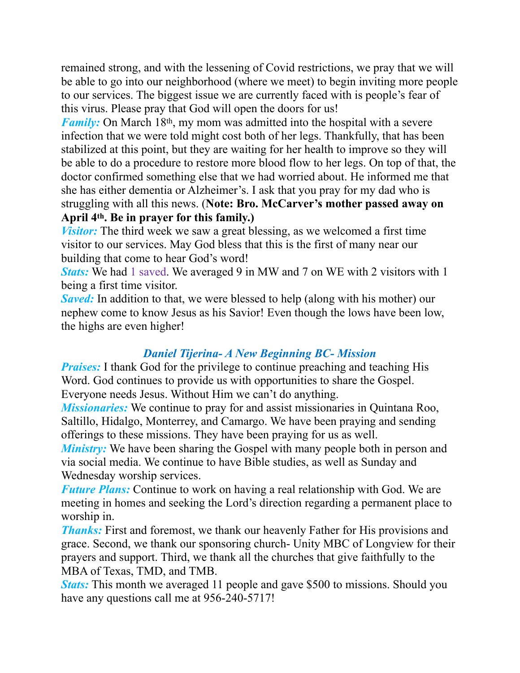remained strong, and with the lessening of Covid restrictions, we pray that we will be able to go into our neighborhood (where we meet) to begin inviting more people to our services. The biggest issue we are currently faced with is people's fear of this virus. Please pray that God will open the doors for us!

*Family:* On March 18<sup>th</sup>, my mom was admitted into the hospital with a severe infection that we were told might cost both of her legs. Thankfully, that has been stabilized at this point, but they are waiting for her health to improve so they will be able to do a procedure to restore more blood flow to her legs. On top of that, the doctor confirmed something else that we had worried about. He informed me that she has either dementia or Alzheimer's. I ask that you pray for my dad who is struggling with all this news. (**Note: Bro. McCarver's mother passed away on April 4th. Be in prayer for this family.)**

*Visitor:* The third week we saw a great blessing, as we welcomed a first time visitor to our services. May God bless that this is the first of many near our building that come to hear God's word!

*Stats:* We had 1 saved. We averaged 9 in MW and 7 on WE with 2 visitors with 1 being a first time visitor.

*Saved:* In addition to that, we were blessed to help (along with his mother) our nephew come to know Jesus as his Savior! Even though the lows have been low, the highs are even higher!

## *Daniel Tijerina- A New Beginning BC- Mission*

*Praises:* I thank God for the privilege to continue preaching and teaching His Word. God continues to provide us with opportunities to share the Gospel. Everyone needs Jesus. Without Him we can't do anything.

*Missionaries:* We continue to pray for and assist missionaries in Quintana Roo, Saltillo, Hidalgo, Monterrey, and Camargo. We have been praying and sending offerings to these missions. They have been praying for us as well.

*Ministry:* We have been sharing the Gospel with many people both in person and via social media. We continue to have Bible studies, as well as Sunday and Wednesday worship services.

*Future Plans:* Continue to work on having a real relationship with God. We are meeting in homes and seeking the Lord's direction regarding a permanent place to worship in.

*Thanks:* First and foremost, we thank our heavenly Father for His provisions and grace. Second, we thank our sponsoring church- Unity MBC of Longview for their prayers and support. Third, we thank all the churches that give faithfully to the MBA of Texas, TMD, and TMB.

*Stats:* This month we averaged 11 people and gave \$500 to missions. Should you have any questions call me at 956-240-5717!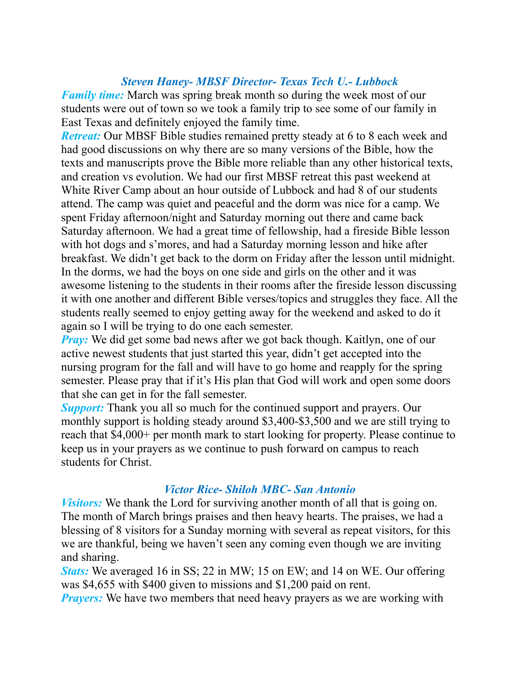## *Steven Haney- MBSF Director- Texas Tech U.- Lubbock*

*Family time:* March was spring break month so during the week most of our students were out of town so we took a family trip to see some of our family in East Texas and definitely enjoyed the family time.

*Retreat:* Our MBSF Bible studies remained pretty steady at 6 to 8 each week and had good discussions on why there are so many versions of the Bible, how the texts and manuscripts prove the Bible more reliable than any other historical texts, and creation vs evolution. We had our first MBSF retreat this past weekend at White River Camp about an hour outside of Lubbock and had 8 of our students attend. The camp was quiet and peaceful and the dorm was nice for a camp. We spent Friday afternoon/night and Saturday morning out there and came back Saturday afternoon. We had a great time of fellowship, had a fireside Bible lesson with hot dogs and s'mores, and had a Saturday morning lesson and hike after breakfast. We didn't get back to the dorm on Friday after the lesson until midnight. In the dorms, we had the boys on one side and girls on the other and it was awesome listening to the students in their rooms after the fireside lesson discussing it with one another and different Bible verses/topics and struggles they face. All the students really seemed to enjoy getting away for the weekend and asked to do it again so I will be trying to do one each semester.

*Pray:* We did get some bad news after we got back though. Kaitlyn, one of our active newest students that just started this year, didn't get accepted into the nursing program for the fall and will have to go home and reapply for the spring semester. Please pray that if it's His plan that God will work and open some doors that she can get in for the fall semester.

*Support:* Thank you all so much for the continued support and prayers. Our monthly support is holding steady around \$3,400-\$3,500 and we are still trying to reach that \$4,000+ per month mark to start looking for property. Please continue to keep us in your prayers as we continue to push forward on campus to reach students for Christ.

## *Victor Rice- Shiloh MBC- San Antonio*

*Visitors:* We thank the Lord for surviving another month of all that is going on. The month of March brings praises and then heavy hearts. The praises, we had a blessing of 8 visitors for a Sunday morning with several as repeat visitors, for this we are thankful, being we haven't seen any coming even though we are inviting and sharing.

*Stats:* We averaged 16 in SS; 22 in MW; 15 on EW; and 14 on WE. Our offering was \$4,655 with \$400 given to missions and \$1,200 paid on rent.

*Prayers:* We have two members that need heavy prayers as we are working with